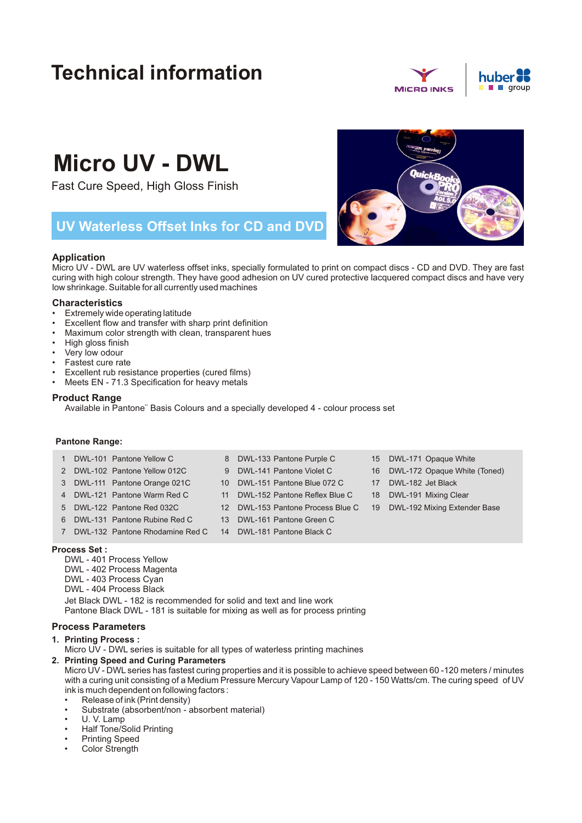## **Technical information**



# **Micro UV - DWL**

Fast Cure Speed, High Gloss Finish

### **UV Waterless Offset Inks for CD and DVD**

#### **Application**

Micro UV - DWL are UV waterless offset inks, specially formulated to print on compact discs - CD and DVD. They are fast curing with high colour strength. They have good adhesion on UV cured protective lacquered compact discs and have very low shrinkage. Suitable for all currently used machines

#### **Characteristics**

- Extremely wide operating latitude
- Excellent flow and transfer with sharp print definition
- Maximum color strength with clean, transparent hues
- High gloss finish
- Very low odour
- Fastest cure rate
- Excellent rub resistance properties (cured films)
- Meets EN 71.3 Specification for heavy metals

#### **Product Range**

Available in Pantone¨ Basis Colours and a specially developed 4 - colour process set

#### **Pantone Range:**

- 1 DWL-101 Pantone Yellow C 8 DWL-133 Pantone Purple C 15 DWL-171 Opaque White 2 DWL-102 Pantone Yellow 012C 9 DWL-141 Pantone Violet C 16 DWL-172 Opaque White (Toned)
- 
- 
- 
- 6 DWL-131 Pantone Rubine Red C 13 DWL-161 Pantone Green C
- 7 DWL-132 Pantone Rhodamine Red C 14 DWL-181 Pantone Black C
- 
- 
- 
- 
- 3 DWL-111 Pantone Orange 021C 10 DWL-151 Pantone Blue 072 C 17 DWL-182 Jet Black
- 4 DWL-121 Pantone Warm Red C 11 DWL-152 Pantone Reflex Blue C 18 DWL-191 Mixing Clear
- 5 DWL-122 Pantone Red 032C 12 DWL-153 Pantone Process Blue C 19 DWL-192 Mixing Extender Base

#### **Process Set :**

- DWL 401 Process Yellow
- DWL 402 Process Magenta
- DWL 403 Process Cyan
- DWL 404 Process Black

Jet Black DWL - 182 is recommended for solid and text and line work Pantone Black DWL - 181 is suitable for mixing as well as for process printing

#### **Process Parameters**

- **1. Printing Process :**
- Micro UV DWL series is suitable for all types of waterless printing machines
- **2. Printing Speed and Curing Parameters**
	- Micro UV DWL series has fastest curing properties and it is possible to achieve speed between 60 -120 meters / minutes with a curing unit consisting of a Medium Pressure Mercury Vapour Lamp of 120 - 150 Watts/cm. The curing speed of UV ink is much dependent on following factors :
	- Release of ink (Print density)
	- Substrate (absorbent/non absorbent material)
	- U. V. Lamp
	- Half Tone/Solid Printing
	- **Printing Speed**
	- Color Strength